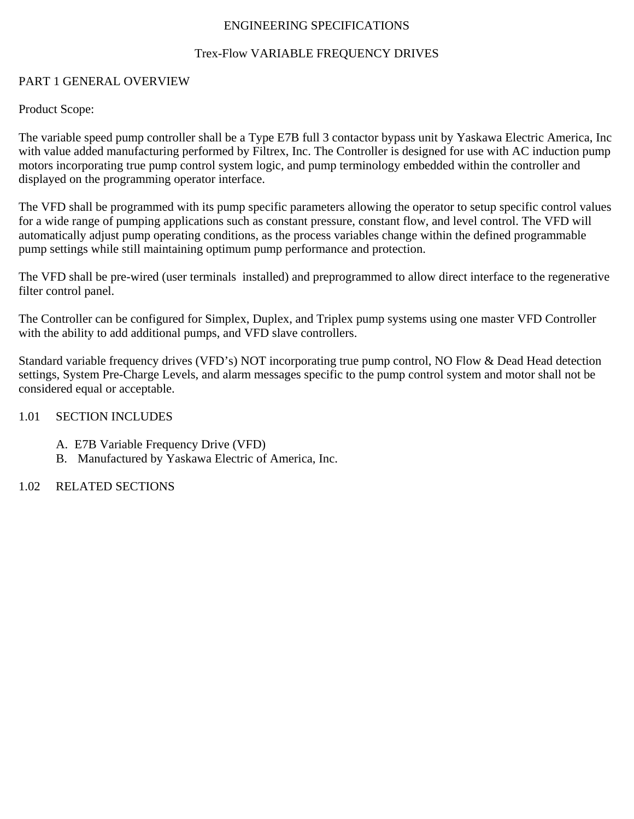## ENGINEERING SPECIFICATIONS

# Trex-Flow VARIABLE FREQUENCY DRIVES

### PART 1 GENERAL OVERVIEW

Product Scope:

The variable speed pump controller shall be a Type E7B full 3 contactor bypass unit by Yaskawa Electric America, Inc with value added manufacturing performed by Filtrex, Inc. The Controller is designed for use with AC induction pump motors incorporating true pump control system logic, and pump terminology embedded within the controller and displayed on the programming operator interface.

The VFD shall be programmed with its pump specific parameters allowing the operator to setup specific control values for a wide range of pumping applications such as constant pressure, constant flow, and level control. The VFD will automatically adjust pump operating conditions, as the process variables change within the defined programmable pump settings while still maintaining optimum pump performance and protection.

The VFD shall be pre-wired (user terminals installed) and preprogrammed to allow direct interface to the regenerative filter control panel.

The Controller can be configured for Simplex, Duplex, and Triplex pump systems using one master VFD Controller with the ability to add additional pumps, and VFD slave controllers.

Standard variable frequency drives (VFD's) NOT incorporating true pump control, NO Flow & Dead Head detection settings, System Pre-Charge Levels, and alarm messages specific to the pump control system and motor shall not be considered equal or acceptable.

## 1.01 SECTION INCLUDES

- A. E7B Variable Frequency Drive (VFD)
- B. Manufactured by Yaskawa Electric of America, Inc.

# 1.02 RELATED SECTIONS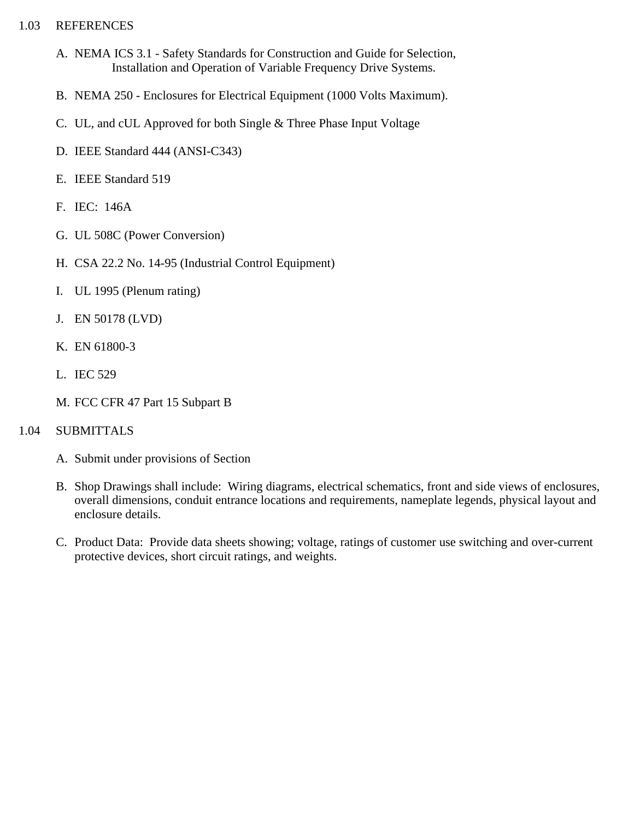# 1.03 REFERENCES

- A. NEMA ICS 3.1 Safety Standards for Construction and Guide for Selection, Installation and Operation of Variable Frequency Drive Systems.
- B. NEMA 250 Enclosures for Electrical Equipment (1000 Volts Maximum).
- C. UL, and cUL Approved for both Single & Three Phase Input Voltage
- D. IEEE Standard 444 (ANSI-C343)
- E. IEEE Standard 519
- F. IEC: 146A
- G. UL 508C (Power Conversion)
- H. CSA 22.2 No. 14-95 (Industrial Control Equipment)
- I. UL 1995 (Plenum rating)
- J. EN 50178 (LVD)
- K. EN 61800-3
- L. IEC 529
- M. FCC CFR 47 Part 15 Subpart B

# 1.04 SUBMITTALS

- A. Submit under provisions of Section
- B. Shop Drawings shall include: Wiring diagrams, electrical schematics, front and side views of enclosures, overall dimensions, conduit entrance locations and requirements, nameplate legends, physical layout and enclosure details.
- C. Product Data: Provide data sheets showing; voltage, ratings of customer use switching and over-current protective devices, short circuit ratings, and weights.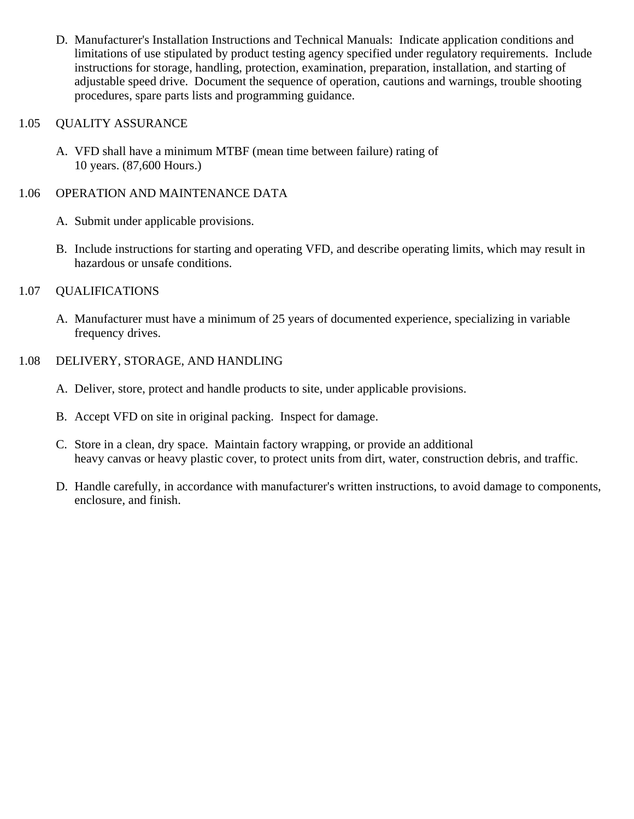D. Manufacturer's Installation Instructions and Technical Manuals: Indicate application conditions and limitations of use stipulated by product testing agency specified under regulatory requirements. Include instructions for storage, handling, protection, examination, preparation, installation, and starting of adjustable speed drive. Document the sequence of operation, cautions and warnings, trouble shooting procedures, spare parts lists and programming guidance.

## 1.05 QUALITY ASSURANCE

A. VFD shall have a minimum MTBF (mean time between failure) rating of 10 years. (87,600 Hours.)

# 1.06 OPERATION AND MAINTENANCE DATA

- A. Submit under applicable provisions.
- B. Include instructions for starting and operating VFD, and describe operating limits, which may result in hazardous or unsafe conditions.

## 1.07 QUALIFICATIONS

A. Manufacturer must have a minimum of 25 years of documented experience, specializing in variable frequency drives.

## 1.08 DELIVERY, STORAGE, AND HANDLING

- A. Deliver, store, protect and handle products to site, under applicable provisions.
- B. Accept VFD on site in original packing. Inspect for damage.
- C. Store in a clean, dry space. Maintain factory wrapping, or provide an additional heavy canvas or heavy plastic cover, to protect units from dirt, water, construction debris, and traffic.
- D. Handle carefully, in accordance with manufacturer's written instructions, to avoid damage to components, enclosure, and finish.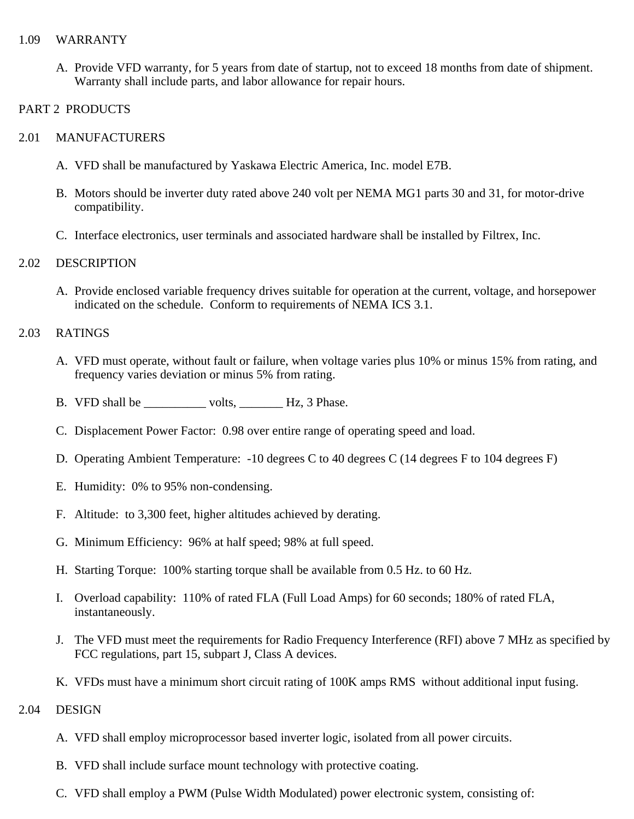#### 1.09 WARRANTY

A. Provide VFD warranty, for 5 years from date of startup, not to exceed 18 months from date of shipment. Warranty shall include parts, and labor allowance for repair hours.

### PART 2 PRODUCTS

### 2.01 MANUFACTURERS

- A. VFD shall be manufactured by Yaskawa Electric America, Inc. model E7B.
- B. Motors should be inverter duty rated above 240 volt per NEMA MG1 parts 30 and 31, for motor-drive compatibility.
- C. Interface electronics, user terminals and associated hardware shall be installed by Filtrex, Inc.

#### 2.02 DESCRIPTION

A. Provide enclosed variable frequency drives suitable for operation at the current, voltage, and horsepower indicated on the schedule. Conform to requirements of NEMA ICS 3.1.

#### 2.03 RATINGS

- A. VFD must operate, without fault or failure, when voltage varies plus 10% or minus 15% from rating, and frequency varies deviation or minus 5% from rating.
- B. VFD shall be \_\_\_\_\_\_\_\_\_\_\_ volts, \_\_\_\_\_\_\_\_ Hz, 3 Phase.
- C. Displacement Power Factor: 0.98 over entire range of operating speed and load.
- D. Operating Ambient Temperature: -10 degrees C to 40 degrees C (14 degrees F to 104 degrees F)
- E. Humidity: 0% to 95% non-condensing.
- F. Altitude: to 3,300 feet, higher altitudes achieved by derating.
- G. Minimum Efficiency: 96% at half speed; 98% at full speed.
- H. Starting Torque: 100% starting torque shall be available from 0.5 Hz. to 60 Hz.
- I. Overload capability: 110% of rated FLA (Full Load Amps) for 60 seconds; 180% of rated FLA, instantaneously.
- J. The VFD must meet the requirements for Radio Frequency Interference (RFI) above 7 MHz as specified by FCC regulations, part 15, subpart J, Class A devices.
- K. VFDs must have a minimum short circuit rating of 100K amps RMS without additional input fusing.
- 2.04 DESIGN
	- A. VFD shall employ microprocessor based inverter logic, isolated from all power circuits.
	- B. VFD shall include surface mount technology with protective coating.
	- C. VFD shall employ a PWM (Pulse Width Modulated) power electronic system, consisting of: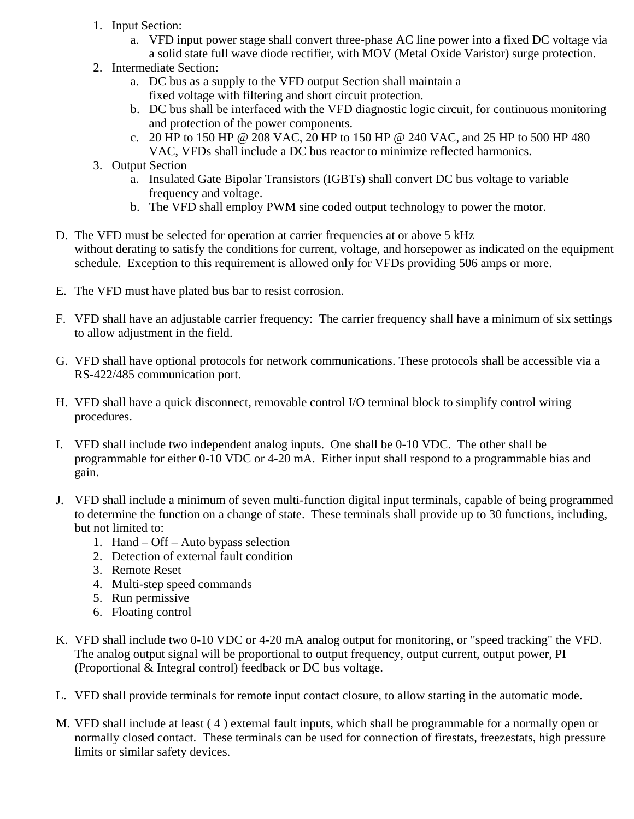- 1. Input Section:
	- a. VFD input power stage shall convert three-phase AC line power into a fixed DC voltage via a solid state full wave diode rectifier, with MOV (Metal Oxide Varistor) surge protection.
- 2. Intermediate Section:
	- a. DC bus as a supply to the VFD output Section shall maintain a fixed voltage with filtering and short circuit protection.
	- b. DC bus shall be interfaced with the VFD diagnostic logic circuit, for continuous monitoring and protection of the power components.
	- c. 20 HP to 150 HP @ 208 VAC, 20 HP to 150 HP @ 240 VAC, and 25 HP to 500 HP 480 VAC, VFDs shall include a DC bus reactor to minimize reflected harmonics.
- 3. Output Section
	- a. Insulated Gate Bipolar Transistors (IGBTs) shall convert DC bus voltage to variable frequency and voltage.
	- b. The VFD shall employ PWM sine coded output technology to power the motor.
- D. The VFD must be selected for operation at carrier frequencies at or above 5 kHz without derating to satisfy the conditions for current, voltage, and horsepower as indicated on the equipment schedule. Exception to this requirement is allowed only for VFDs providing 506 amps or more.
- E. The VFD must have plated bus bar to resist corrosion.
- F. VFD shall have an adjustable carrier frequency: The carrier frequency shall have a minimum of six settings to allow adjustment in the field.
- G. VFD shall have optional protocols for network communications. These protocols shall be accessible via a RS-422/485 communication port.
- H. VFD shall have a quick disconnect, removable control I/O terminal block to simplify control wiring procedures.
- I. VFD shall include two independent analog inputs. One shall be 0-10 VDC. The other shall be programmable for either 0-10 VDC or 4-20 mA. Either input shall respond to a programmable bias and gain.
- J. VFD shall include a minimum of seven multi-function digital input terminals, capable of being programmed to determine the function on a change of state. These terminals shall provide up to 30 functions, including, but not limited to:
	- 1. Hand Off Auto bypass selection
	- 2. Detection of external fault condition
	- 3. Remote Reset
	- 4. Multi-step speed commands
	- 5. Run permissive
	- 6. Floating control
- K. VFD shall include two 0-10 VDC or 4-20 mA analog output for monitoring, or "speed tracking" the VFD. The analog output signal will be proportional to output frequency, output current, output power, PI (Proportional & Integral control) feedback or DC bus voltage.
- L. VFD shall provide terminals for remote input contact closure, to allow starting in the automatic mode.
- M. VFD shall include at least ( 4 ) external fault inputs, which shall be programmable for a normally open or normally closed contact. These terminals can be used for connection of firestats, freezestats, high pressure limits or similar safety devices.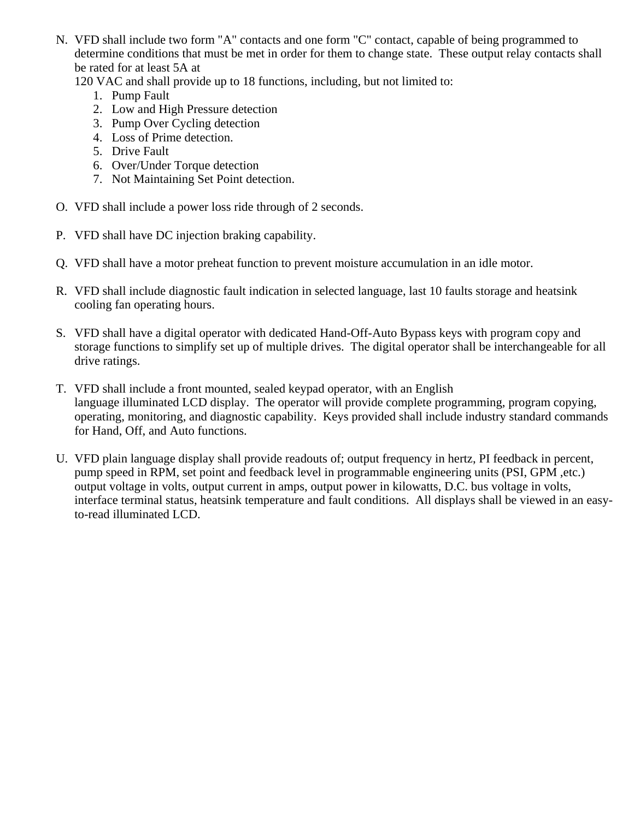N. VFD shall include two form "A" contacts and one form "C" contact, capable of being programmed to determine conditions that must be met in order for them to change state. These output relay contacts shall be rated for at least 5A at

120 VAC and shall provide up to 18 functions, including, but not limited to:

- 1. Pump Fault
- 2. Low and High Pressure detection
- 3. Pump Over Cycling detection
- 4. Loss of Prime detection.
- 5. Drive Fault
- 6. Over/Under Torque detection
- 7. Not Maintaining Set Point detection.
- O. VFD shall include a power loss ride through of 2 seconds.
- P. VFD shall have DC injection braking capability.
- Q. VFD shall have a motor preheat function to prevent moisture accumulation in an idle motor.
- R. VFD shall include diagnostic fault indication in selected language, last 10 faults storage and heatsink cooling fan operating hours.
- S. VFD shall have a digital operator with dedicated Hand-Off-Auto Bypass keys with program copy and storage functions to simplify set up of multiple drives. The digital operator shall be interchangeable for all drive ratings.
- T. VFD shall include a front mounted, sealed keypad operator, with an English language illuminated LCD display. The operator will provide complete programming, program copying, operating, monitoring, and diagnostic capability. Keys provided shall include industry standard commands for Hand, Off, and Auto functions.
- U. VFD plain language display shall provide readouts of; output frequency in hertz, PI feedback in percent, pump speed in RPM, set point and feedback level in programmable engineering units (PSI, GPM ,etc.) output voltage in volts, output current in amps, output power in kilowatts, D.C. bus voltage in volts, interface terminal status, heatsink temperature and fault conditions. All displays shall be viewed in an easyto-read illuminated LCD.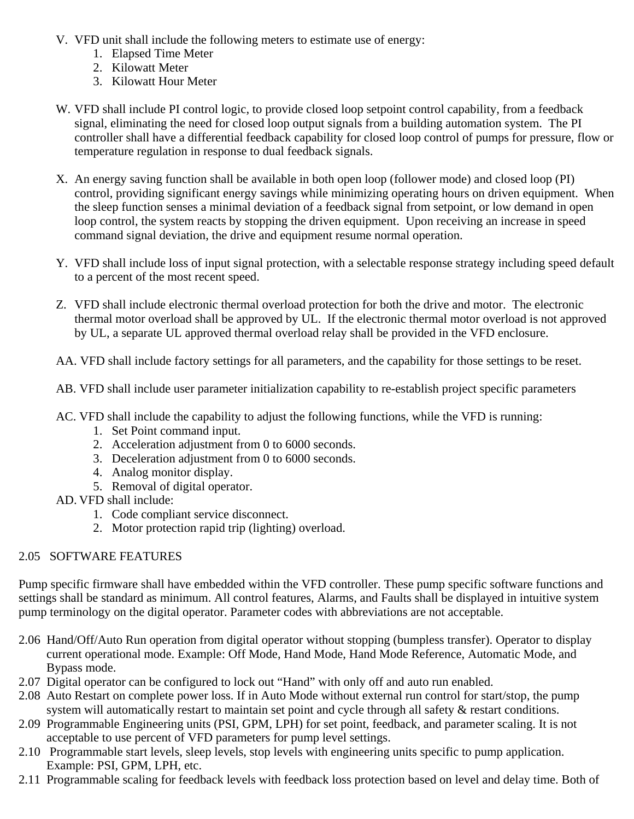- V. VFD unit shall include the following meters to estimate use of energy:
	- 1. Elapsed Time Meter
	- 2. Kilowatt Meter
	- 3. Kilowatt Hour Meter
- W. VFD shall include PI control logic, to provide closed loop setpoint control capability, from a feedback signal, eliminating the need for closed loop output signals from a building automation system. The PI controller shall have a differential feedback capability for closed loop control of pumps for pressure, flow or temperature regulation in response to dual feedback signals.
- X. An energy saving function shall be available in both open loop (follower mode) and closed loop (PI) control, providing significant energy savings while minimizing operating hours on driven equipment. When the sleep function senses a minimal deviation of a feedback signal from setpoint, or low demand in open loop control, the system reacts by stopping the driven equipment. Upon receiving an increase in speed command signal deviation, the drive and equipment resume normal operation.
- Y. VFD shall include loss of input signal protection, with a selectable response strategy including speed default to a percent of the most recent speed.
- Z. VFD shall include electronic thermal overload protection for both the drive and motor. The electronic thermal motor overload shall be approved by UL. If the electronic thermal motor overload is not approved by UL, a separate UL approved thermal overload relay shall be provided in the VFD enclosure.

AA. VFD shall include factory settings for all parameters, and the capability for those settings to be reset.

- AB. VFD shall include user parameter initialization capability to re-establish project specific parameters
- AC. VFD shall include the capability to adjust the following functions, while the VFD is running:
	- 1. Set Point command input.
	- 2. Acceleration adjustment from 0 to 6000 seconds.
	- 3. Deceleration adjustment from 0 to 6000 seconds.
	- 4. Analog monitor display.
	- 5. Removal of digital operator.
- AD. VFD shall include:
	- 1. Code compliant service disconnect.
	- 2. Motor protection rapid trip (lighting) overload.

# 2.05 SOFTWARE FEATURES

Pump specific firmware shall have embedded within the VFD controller. These pump specific software functions and settings shall be standard as minimum. All control features, Alarms, and Faults shall be displayed in intuitive system pump terminology on the digital operator. Parameter codes with abbreviations are not acceptable.

- 2.06 Hand/Off/Auto Run operation from digital operator without stopping (bumpless transfer). Operator to display current operational mode. Example: Off Mode, Hand Mode, Hand Mode Reference, Automatic Mode, and Bypass mode.
- 2.07 Digital operator can be configured to lock out "Hand" with only off and auto run enabled.
- 2.08 Auto Restart on complete power loss. If in Auto Mode without external run control for start/stop, the pump system will automatically restart to maintain set point and cycle through all safety & restart conditions.
- 2.09 Programmable Engineering units (PSI, GPM, LPH) for set point, feedback, and parameter scaling. It is not acceptable to use percent of VFD parameters for pump level settings.
- 2.10 Programmable start levels, sleep levels, stop levels with engineering units specific to pump application. Example: PSI, GPM, LPH, etc.
- 2.11 Programmable scaling for feedback levels with feedback loss protection based on level and delay time. Both of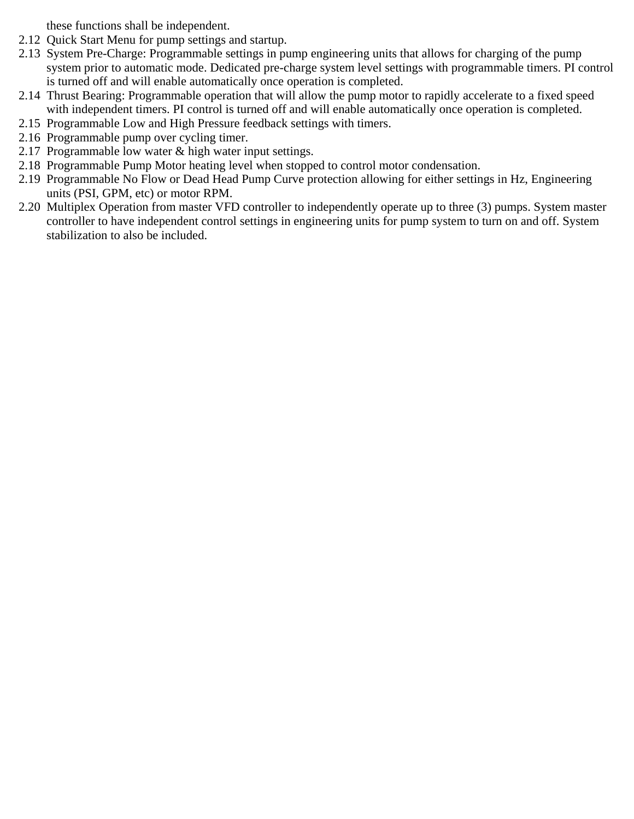these functions shall be independent.

- 2.12 Quick Start Menu for pump settings and startup.
- 2.13 System Pre-Charge: Programmable settings in pump engineering units that allows for charging of the pump system prior to automatic mode. Dedicated pre-charge system level settings with programmable timers. PI control is turned off and will enable automatically once operation is completed.
- 2.14 Thrust Bearing: Programmable operation that will allow the pump motor to rapidly accelerate to a fixed speed with independent timers. PI control is turned off and will enable automatically once operation is completed.
- 2.15 Programmable Low and High Pressure feedback settings with timers.
- 2.16 Programmable pump over cycling timer.
- 2.17 Programmable low water & high water input settings.
- 2.18 Programmable Pump Motor heating level when stopped to control motor condensation.
- 2.19 Programmable No Flow or Dead Head Pump Curve protection allowing for either settings in Hz, Engineering units (PSI, GPM, etc) or motor RPM.
- 2.20 Multiplex Operation from master VFD controller to independently operate up to three (3) pumps. System master controller to have independent control settings in engineering units for pump system to turn on and off. System stabilization to also be included.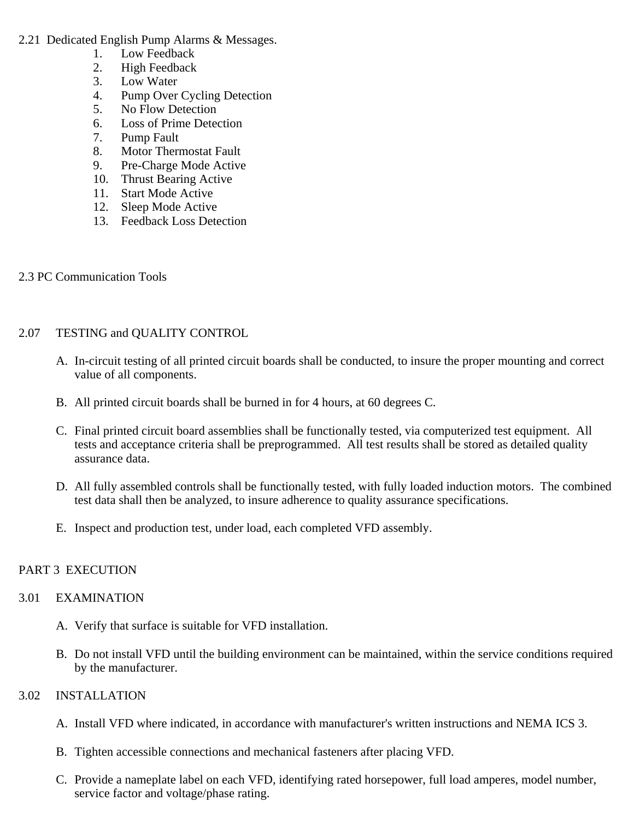- 2.21 Dedicated English Pump Alarms & Messages.
	- 1. Low Feedback
	- 2. High Feedback
	- 3. Low Water
	- 4. Pump Over Cycling Detection
	- 5. No Flow Detection
	- 6. Loss of Prime Detection
	- 7. Pump Fault
	- 8. Motor Thermostat Fault
	- 9. Pre-Charge Mode Active
	- 10. Thrust Bearing Active
	- 11. Start Mode Active
	- 12. Sleep Mode Active
	- 13. Feedback Loss Detection

### 2.3 PC Communication Tools

# 2.07 TESTING and QUALITY CONTROL

- A. In-circuit testing of all printed circuit boards shall be conducted, to insure the proper mounting and correct value of all components.
- B. All printed circuit boards shall be burned in for 4 hours, at 60 degrees C.
- C. Final printed circuit board assemblies shall be functionally tested, via computerized test equipment. All tests and acceptance criteria shall be preprogrammed. All test results shall be stored as detailed quality assurance data.
- D. All fully assembled controls shall be functionally tested, with fully loaded induction motors. The combined test data shall then be analyzed, to insure adherence to quality assurance specifications.
- E. Inspect and production test, under load, each completed VFD assembly.

# PART 3 EXECUTION

### 3.01 EXAMINATION

- A. Verify that surface is suitable for VFD installation.
- B. Do not install VFD until the building environment can be maintained, within the service conditions required by the manufacturer.

### 3.02 INSTALLATION

- A. Install VFD where indicated, in accordance with manufacturer's written instructions and NEMA ICS 3.
- B. Tighten accessible connections and mechanical fasteners after placing VFD.
- C. Provide a nameplate label on each VFD, identifying rated horsepower, full load amperes, model number, service factor and voltage/phase rating.